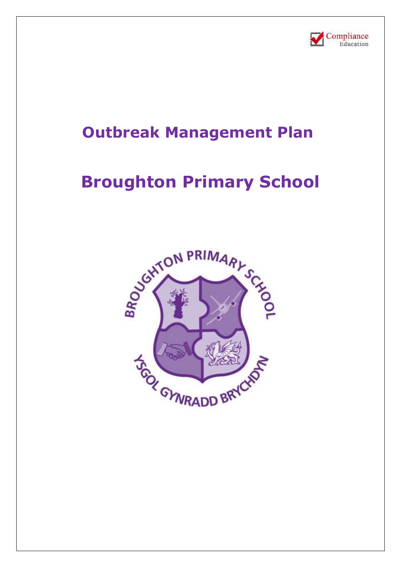

## **Outbreak Management Plan**

# **Broughton Primary School**

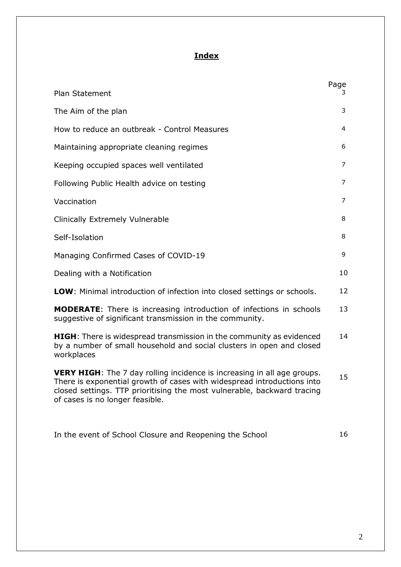### **Index**

|                                                                                                                                                                                                                                                                         | Page |
|-------------------------------------------------------------------------------------------------------------------------------------------------------------------------------------------------------------------------------------------------------------------------|------|
| Plan Statement                                                                                                                                                                                                                                                          | 3.   |
| The Aim of the plan                                                                                                                                                                                                                                                     | 3    |
| How to reduce an outbreak - Control Measures                                                                                                                                                                                                                            | 4    |
| Maintaining appropriate cleaning regimes                                                                                                                                                                                                                                | 6    |
| Keeping occupied spaces well ventilated                                                                                                                                                                                                                                 | 7    |
| Following Public Health advice on testing                                                                                                                                                                                                                               | 7    |
| Vaccination                                                                                                                                                                                                                                                             | 7    |
| Clinically Extremely Vulnerable                                                                                                                                                                                                                                         | 8    |
| Self-Isolation                                                                                                                                                                                                                                                          | 8    |
| Managing Confirmed Cases of COVID-19                                                                                                                                                                                                                                    | 9    |
| Dealing with a Notification                                                                                                                                                                                                                                             | 10   |
| <b>LOW:</b> Minimal introduction of infection into closed settings or schools.                                                                                                                                                                                          | 12   |
| <b>MODERATE:</b> There is increasing introduction of infections in schools<br>suggestive of significant transmission in the community.                                                                                                                                  | 13   |
| <b>HIGH</b> : There is widespread transmission in the community as evidenced<br>by a number of small household and social clusters in open and closed<br>workplaces                                                                                                     | 14   |
| <b>VERY HIGH:</b> The 7 day rolling incidence is increasing in all age groups.<br>There is exponential growth of cases with widespread introductions into<br>closed settings. TTP prioritising the most vulnerable, backward tracing<br>of cases is no longer feasible. | 15   |
| In the event of School Closure and Reopening the School                                                                                                                                                                                                                 | 16   |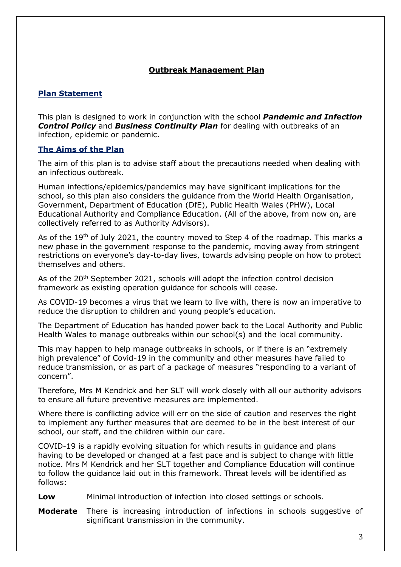#### **Outbreak Management Plan**

#### **Plan Statement**

This plan is designed to work in conjunction with the school *Pandemic and Infection Control Policy* and *Business Continuity Plan* for dealing with outbreaks of an infection, epidemic or pandemic.

#### **The Aims of the Plan**

The aim of this plan is to advise staff about the precautions needed when dealing with an infectious outbreak.

Human infections/epidemics/pandemics may have significant implications for the school, so this plan also considers the guidance from the World Health Organisation, Government, Department of Education (DfE), Public Health Wales (PHW), Local Educational Authority and Compliance Education. (All of the above, from now on, are collectively referred to as Authority Advisors).

As of the 19<sup>th</sup> of July 2021, the country moved to Step 4 of the roadmap. This marks a new phase in the government response to the pandemic, moving away from stringent restrictions on everyone's day-to-day lives, towards advising people on how to protect themselves and others.

As of the 20<sup>th</sup> September 2021, schools will adopt the infection control decision framework as existing operation guidance for schools will cease.

As COVID-19 becomes a virus that we learn to live with, there is now an imperative to reduce the disruption to children and young people's education.

The Department of Education has handed power back to the Local Authority and Public Health Wales to manage outbreaks within our school(s) and the local community.

This may happen to help manage outbreaks in schools, or if there is an "extremely high prevalence" of Covid-19 in the community and other measures have failed to reduce transmission, or as part of a package of measures "responding to a variant of concern".

Therefore, Mrs M Kendrick and her SLT will work closely with all our authority advisors to ensure all future preventive measures are implemented.

Where there is conflicting advice will err on the side of caution and reserves the right to implement any further measures that are deemed to be in the best interest of our school, our staff, and the children within our care.

COVID-19 is a rapidly evolving situation for which results in guidance and plans having to be developed or changed at a fast pace and is subject to change with little notice. Mrs M Kendrick and her SLT together and Compliance Education will continue to follow the guidance laid out in this framework. Threat levels will be identified as follows:

- **Low** Minimal introduction of infection into closed settings or schools.
- **Moderate** There is increasing introduction of infections in schools suggestive of significant transmission in the community.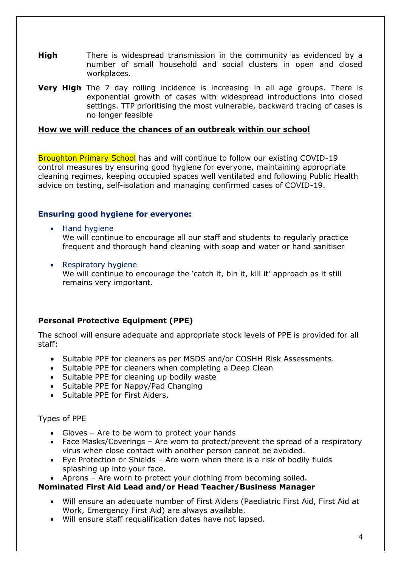- **High** There is widespread transmission in the community as evidenced by a number of small household and social clusters in open and closed workplaces.
- **Very High** The 7 day rolling incidence is increasing in all age groups. There is exponential growth of cases with widespread introductions into closed settings. TTP prioritising the most vulnerable, backward tracing of cases is no longer feasible

#### **How we will reduce the chances of an outbreak within our school**

Broughton Primary School has and will continue to follow our existing COVID-19 control measures by ensuring good hygiene for everyone, maintaining appropriate cleaning regimes, keeping occupied spaces well ventilated and following Public Health advice on testing, self-isolation and managing confirmed cases of COVID-19.

#### **Ensuring good hygiene for everyone:**

- Hand hygiene We will continue to encourage all our staff and students to regularly practice frequent and thorough hand cleaning with soap and water or hand sanitiser
- Respiratory hygiene We will continue to encourage the 'catch it, bin it, kill it' approach as it still remains very important.

#### **Personal Protective Equipment (PPE)**

The school will ensure adequate and appropriate stock levels of PPE is provided for all staff:

- Suitable PPE for cleaners as per MSDS and/or COSHH Risk Assessments.
- Suitable PPE for cleaners when completing a Deep Clean
- Suitable PPE for cleaning up bodily waste
- Suitable PPE for Nappy/Pad Changing
- Suitable PPE for First Aiders.

#### Types of PPE

- Gloves Are to be worn to protect your hands
- Face Masks/Coverings Are worn to protect/prevent the spread of a respiratory virus when close contact with another person cannot be avoided.
- Eye Protection or Shields Are worn when there is a risk of bodily fluids splashing up into your face.
- Aprons Are worn to protect your clothing from becoming soiled.

#### **Nominated First Aid Lead and/or Head Teacher/Business Manager**

- Will ensure an adequate number of First Aiders (Paediatric First Aid, First Aid at Work, Emergency First Aid) are always available.
- Will ensure staff requalification dates have not lapsed.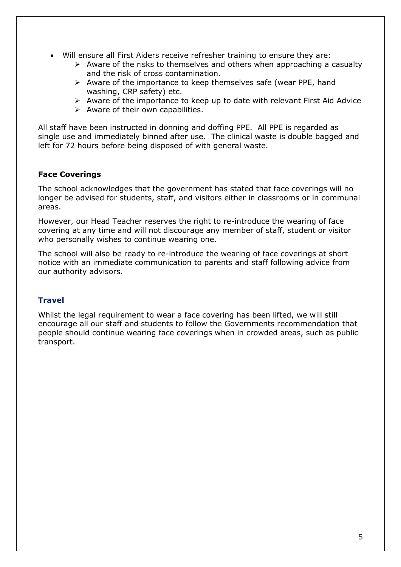- Will ensure all First Aiders receive refresher training to ensure they are:
	- $\triangleright$  Aware of the risks to themselves and others when approaching a casualty and the risk of cross contamination.
	- ➢ Aware of the importance to keep themselves safe (wear PPE, hand washing, CRP safety) etc.
	- ➢ Aware of the importance to keep up to date with relevant First Aid Advice
	- $\triangleright$  Aware of their own capabilities.

All staff have been instructed in donning and doffing PPE. All PPE is regarded as single use and immediately binned after use. The clinical waste is double bagged and left for 72 hours before being disposed of with general waste.

#### **Face Coverings**

The school acknowledges that the government has stated that face coverings will no longer be advised for students, staff, and visitors either in classrooms or in communal areas.

However, our Head Teacher reserves the right to re-introduce the wearing of face covering at any time and will not discourage any member of staff, student or visitor who personally wishes to continue wearing one.

The school will also be ready to re-introduce the wearing of face coverings at short notice with an immediate communication to parents and staff following advice from our authority advisors.

#### **Travel**

Whilst the legal requirement to wear a face covering has been lifted, we will still encourage all our staff and students to follow the Governments recommendation that people should continue wearing face coverings when in crowded areas, such as public transport.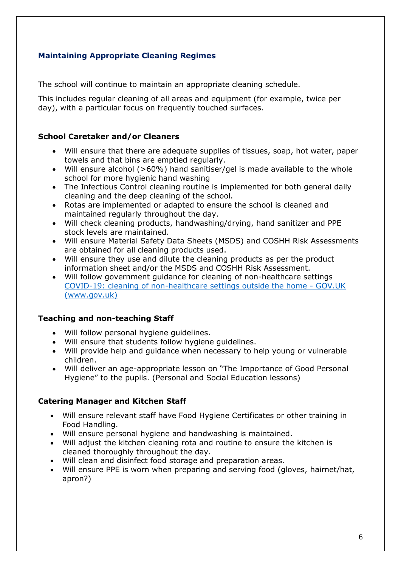#### **Maintaining Appropriate Cleaning Regimes**

The school will continue to maintain an appropriate cleaning schedule.

This includes regular cleaning of all areas and equipment (for example, twice per day), with a particular focus on frequently touched surfaces.

#### **School Caretaker and/or Cleaners**

- Will ensure that there are adequate supplies of tissues, soap, hot water, paper towels and that bins are emptied regularly.
- Will ensure alcohol (>60%) hand sanitiser/gel is made available to the whole school for more hygienic hand washing
- The Infectious Control cleaning routine is implemented for both general daily cleaning and the deep cleaning of the school.
- Rotas are implemented or adapted to ensure the school is cleaned and maintained regularly throughout the day.
- Will check cleaning products, handwashing/drying, hand sanitizer and PPE stock levels are maintained.
- Will ensure Material Safety Data Sheets (MSDS) and COSHH Risk Assessments are obtained for all cleaning products used.
- Will ensure they use and dilute the cleaning products as per the product information sheet and/or the MSDS and COSHH Risk Assessment.
- Will follow government guidance for cleaning of non-healthcare settings [COVID-19: cleaning of non-healthcare settings outside the home -](https://www.gov.uk/government/publications/covid-19-decontamination-in-non-healthcare-settings) GOV.UK [\(www.gov.uk\)](https://www.gov.uk/government/publications/covid-19-decontamination-in-non-healthcare-settings)

#### **Teaching and non-teaching Staff**

- Will follow personal hygiene guidelines.
- Will ensure that students follow hygiene guidelines.
- Will provide help and guidance when necessary to help young or vulnerable children.
- Will deliver an age-appropriate lesson on "The Importance of Good Personal Hygiene" to the pupils. (Personal and Social Education lessons)

#### **Catering Manager and Kitchen Staff**

- Will ensure relevant staff have Food Hygiene Certificates or other training in Food Handling.
- Will ensure personal hygiene and handwashing is maintained.
- Will adjust the kitchen cleaning rota and routine to ensure the kitchen is cleaned thoroughly throughout the day.
- Will clean and disinfect food storage and preparation areas.
- Will ensure PPE is worn when preparing and serving food (gloves, hairnet/hat, apron?)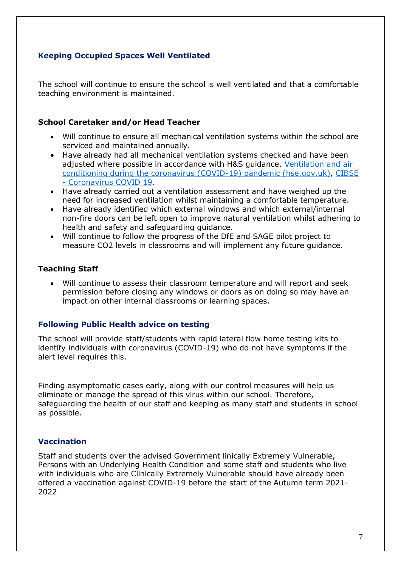#### **Keeping Occupied Spaces Well Ventilated**

The school will continue to ensure the school is well ventilated and that a comfortable teaching environment is maintained.

#### **School Caretaker and/or Head Teacher**

- Will continue to ensure all mechanical ventilation systems within the school are serviced and maintained annually.
- Have already had all mechanical ventilation systems checked and have been adjusted where possible in accordance with H&S guidance. [Ventilation and air](https://www.hse.gov.uk/coronavirus/equipment-and-machinery/air-conditioning-and-ventilation/index.htm)  [conditioning during the coronavirus \(COVID-19\) pandemic \(hse.gov.uk\),](https://www.hse.gov.uk/coronavirus/equipment-and-machinery/air-conditioning-and-ventilation/index.htm) [CIBSE](https://www.cibse.org/coronavirus-covid-19)  - [Coronavirus COVID 19.](https://www.cibse.org/coronavirus-covid-19)
- Have already carried out a ventilation assessment and have weighed up the need for increased ventilation whilst maintaining a comfortable temperature.
- Have already identified which external windows and which external/internal non-fire doors can be left open to improve natural ventilation whilst adhering to health and safety and safeguarding guidance.
- Will continue to follow the progress of the DfE and SAGE pilot project to measure CO2 levels in classrooms and will implement any future guidance.

#### **Teaching Staff**

• Will continue to assess their classroom temperature and will report and seek permission before closing any windows or doors as on doing so may have an impact on other internal classrooms or learning spaces.

#### **Following Public Health advice on testing**

The school will provide staff/students with rapid lateral flow home testing kits to identify individuals with coronavirus (COVID-19) who do not have symptoms if the alert level requires this.

Finding asymptomatic cases early, along with our control measures will help us eliminate or manage the spread of this virus within our school. Therefore, safeguarding the health of our staff and keeping as many staff and students in school as possible.

#### **Vaccination**

Staff and students over the advised Government linically Extremely Vulnerable, Persons with an Underlying Health Condition and some staff and students who live with individuals who are Clinically Extremely Vulnerable should have already been offered a vaccination against COVID-19 before the start of the Autumn term 2021- 2022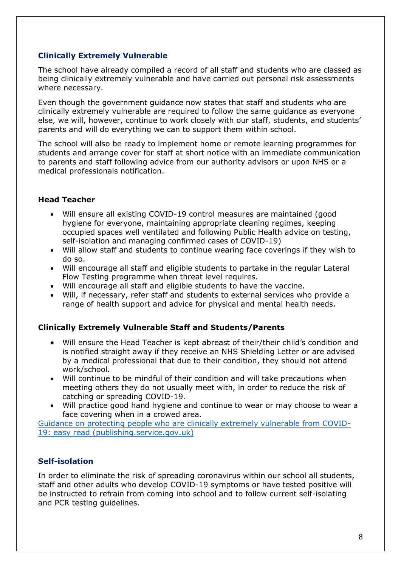#### **Clinically Extremely Vulnerable**

The school have already compiled a record of all staff and students who are classed as being clinically extremely vulnerable and have carried out personal risk assessments where necessary.

Even though the government guidance now states that staff and students who are clinically extremely vulnerable are required to follow the same guidance as everyone else, we will, however, continue to work closely with our staff, students, and students' parents and will do everything we can to support them within school.

The school will also be ready to implement home or remote learning programmes for students and arrange cover for staff at short notice with an immediate communication to parents and staff following advice from our authority advisors or upon NHS or a medical professionals notification.

#### **Head Teacher**

- Will ensure all existing COVID-19 control measures are maintained (good hygiene for everyone, maintaining appropriate cleaning regimes, keeping occupied spaces well ventilated and following Public Health advice on testing, self-isolation and managing confirmed cases of COVID-19)
- Will allow staff and students to continue wearing face coverings if they wish to do so.
- Will encourage all staff and eligible students to partake in the regular Lateral Flow Testing programme when threat level requires.
- Will encourage all staff and eligible students to have the vaccine.
- Will, if necessary, refer staff and students to external services who provide a range of health support and advice for physical and mental health needs.

#### **Clinically Extremely Vulnerable Staff and Students/Parents**

- Will ensure the Head Teacher is kept abreast of their/their child's condition and is notified straight away if they receive an NHS Shielding Letter or are advised by a medical professional that due to their condition, they should not attend work/school.
- Will continue to be mindful of their condition and will take precautions when meeting others they do not usually meet with, in order to reduce the risk of catching or spreading COVID-19.
- Will practice good hand hygiene and continue to wear or may choose to wear a face covering when in a crowed area.

[Guidance on protecting people who are clinically extremely vulnerable from COVID-](https://assets.publishing.service.gov.uk/government/uploads/system/uploads/attachment_data/file/1006300/CEV_Guidance_Step_4_21_July_update-easy_read.pdf)[19: easy read \(publishing.service.gov.uk\)](https://assets.publishing.service.gov.uk/government/uploads/system/uploads/attachment_data/file/1006300/CEV_Guidance_Step_4_21_July_update-easy_read.pdf)

#### **Self-isolation**

In order to eliminate the risk of spreading coronavirus within our school all students, staff and other adults who develop COVID-19 symptoms or have tested positive will be instructed to refrain from coming into school and to follow current self-isolating and PCR testing quidelines.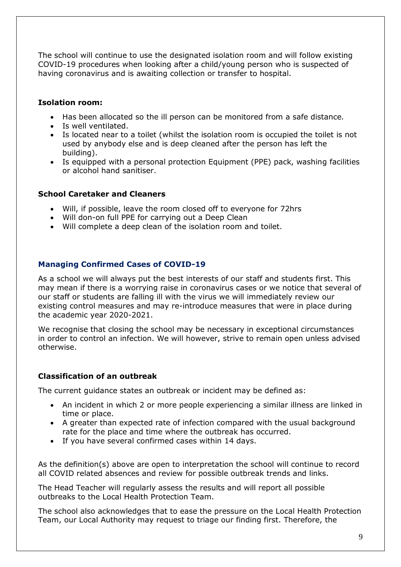The school will continue to use the designated isolation room and will follow existing COVID-19 procedures when looking after a child/young person who is suspected of having coronavirus and is awaiting collection or transfer to hospital.

#### **Isolation room:**

- Has been allocated so the ill person can be monitored from a safe distance.
- Is well ventilated.
- Is located near to a toilet (whilst the isolation room is occupied the toilet is not used by anybody else and is deep cleaned after the person has left the building).
- Is equipped with a personal protection Equipment (PPE) pack, washing facilities or alcohol hand sanitiser.

#### **School Caretaker and Cleaners**

- Will, if possible, leave the room closed off to everyone for 72hrs
- Will don-on full PPE for carrying out a Deep Clean
- Will complete a deep clean of the isolation room and toilet.

#### **Managing Confirmed Cases of COVID-19**

As a school we will always put the best interests of our staff and students first. This may mean if there is a worrying raise in coronavirus cases or we notice that several of our staff or students are falling ill with the virus we will immediately review our existing control measures and may re-introduce measures that were in place during the academic year 2020-2021.

We recognise that closing the school may be necessary in exceptional circumstances in order to control an infection. We will however, strive to remain open unless advised otherwise.

#### **Classification of an outbreak**

The current guidance states an outbreak or incident may be defined as:

- An incident in which 2 or more people experiencing a similar illness are linked in time or place.
- A greater than expected rate of infection compared with the usual background rate for the place and time where the outbreak has occurred.
- If you have several confirmed cases within 14 days.

As the definition(s) above are open to interpretation the school will continue to record all COVID related absences and review for possible outbreak trends and links.

The Head Teacher will regularly assess the results and will report all possible outbreaks to the Local Health Protection Team.

The school also acknowledges that to ease the pressure on the Local Health Protection Team, our Local Authority may request to triage our finding first. Therefore, the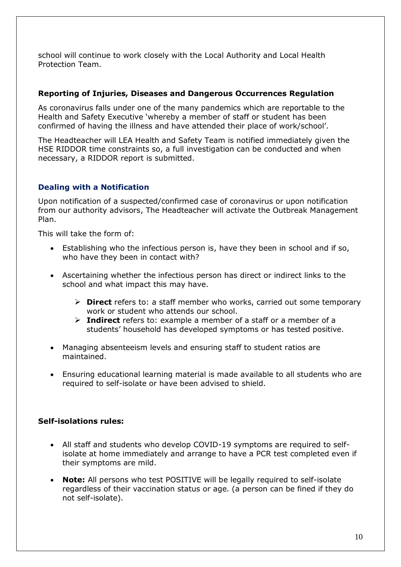school will continue to work closely with the Local Authority and Local Health Protection Team.

#### **Reporting of Injuries, Diseases and Dangerous Occurrences Regulation**

As coronavirus falls under one of the many pandemics which are reportable to the Health and Safety Executive 'whereby a member of staff or student has been confirmed of having the illness and have attended their place of work/school'.

The Headteacher will LEA Health and Safety Team is notified immediately given the HSE RIDDOR time constraints so, a full investigation can be conducted and when necessary, a RIDDOR report is submitted.

#### **Dealing with a Notification**

Upon notification of a suspected/confirmed case of coronavirus or upon notification from our authority advisors, The Headteacher will activate the Outbreak Management Plan.

This will take the form of:

- Establishing who the infectious person is, have they been in school and if so, who have they been in contact with?
- Ascertaining whether the infectious person has direct or indirect links to the school and what impact this may have.
	- ➢ **Direct** refers to: a staff member who works, carried out some temporary work or student who attends our school.
	- ➢ **Indirect** refers to: example a member of a staff or a member of a students' household has developed symptoms or has tested positive.
- Managing absenteeism levels and ensuring staff to student ratios are maintained.
- Ensuring educational learning material is made available to all students who are required to self-isolate or have been advised to shield.

#### **Self-isolations rules:**

- All staff and students who develop COVID-19 symptoms are required to selfisolate at home immediately and arrange to have a PCR test completed even if their symptoms are mild.
- **Note:** All persons who test POSITIVE will be legally required to self-isolate regardless of their vaccination status or age. (a person can be fined if they do not self-isolate).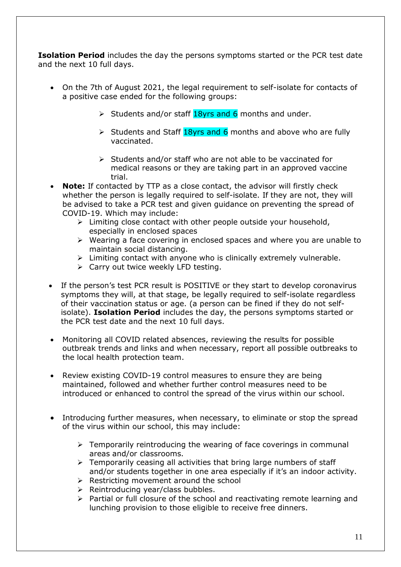**Isolation Period** includes the day the persons symptoms started or the PCR test date and the next 10 full days.

- On the 7th of August 2021, the legal requirement to self-isolate for contacts of a positive case ended for the following groups:
	- $\triangleright$  Students and/or staff 18yrs and 6 months and under.
	- $\triangleright$  Students and Staff 18yrs and 6 months and above who are fully vaccinated.
	- ➢ Students and/or staff who are not able to be vaccinated for medical reasons or they are taking part in an approved vaccine trial.
- **Note:** If contacted by TTP as a close contact, the advisor will firstly check whether the person is legally required to self-isolate. If they are not, they will be advised to take a PCR test and given guidance on preventing the spread of COVID-19. Which may include:
	- $\triangleright$  Limiting close contact with other people outside your household, especially in enclosed spaces
	- ➢ Wearing a face covering in enclosed spaces and where you are unable to maintain social distancing.
	- $\triangleright$  Limiting contact with anyone who is clinically extremely vulnerable.
	- ➢ Carry out twice weekly LFD testing.
- If the person's test PCR result is POSITIVE or they start to develop coronavirus symptoms they will, at that stage, be legally required to self-isolate regardless of their vaccination status or age. (a person can be fined if they do not selfisolate). **Isolation Period** includes the day, the persons symptoms started or the PCR test date and the next 10 full days.
- Monitoring all COVID related absences, reviewing the results for possible outbreak trends and links and when necessary, report all possible outbreaks to the local health protection team.
- Review existing COVID-19 control measures to ensure they are being maintained, followed and whether further control measures need to be introduced or enhanced to control the spread of the virus within our school.
- Introducing further measures, when necessary, to eliminate or stop the spread of the virus within our school, this may include:
	- $\triangleright$  Temporarily reintroducing the wearing of face coverings in communal areas and/or classrooms.
	- $\triangleright$  Temporarily ceasing all activities that bring large numbers of staff and/or students together in one area especially if it's an indoor activity.
	- $\triangleright$  Restricting movement around the school
	- ➢ Reintroducing year/class bubbles.
	- ➢ Partial or full closure of the school and reactivating remote learning and lunching provision to those eligible to receive free dinners.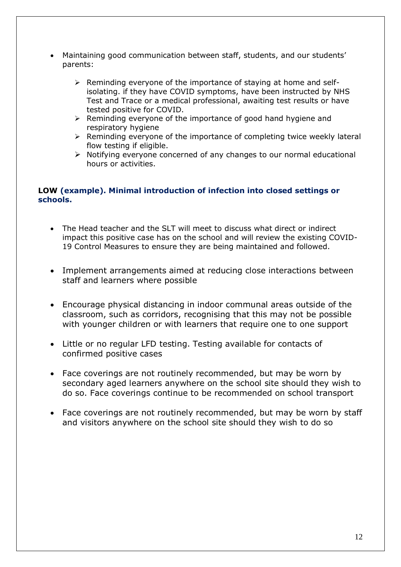- Maintaining good communication between staff, students, and our students' parents:
	- $\triangleright$  Reminding everyone of the importance of staying at home and selfisolating. if they have COVID symptoms, have been instructed by NHS Test and Trace or a medical professional, awaiting test results or have tested positive for COVID.
	- ➢ Reminding everyone of the importance of good hand hygiene and respiratory hygiene
	- ➢ Reminding everyone of the importance of completing twice weekly lateral flow testing if eligible.
	- ➢ Notifying everyone concerned of any changes to our normal educational hours or activities.

#### **LOW (example). Minimal introduction of infection into closed settings or schools.**

- The Head teacher and the SLT will meet to discuss what direct or indirect impact this positive case has on the school and will review the existing COVID-19 Control Measures to ensure they are being maintained and followed.
- Implement arrangements aimed at reducing close interactions between staff and learners where possible
- Encourage physical distancing in indoor communal areas outside of the classroom, such as corridors, recognising that this may not be possible with younger children or with learners that require one to one support
- Little or no regular LFD testing. Testing available for contacts of confirmed positive cases
- Face coverings are not routinely recommended, but may be worn by secondary aged learners anywhere on the school site should they wish to do so. Face coverings continue to be recommended on school transport
- Face coverings are not routinely recommended, but may be worn by staff and visitors anywhere on the school site should they wish to do so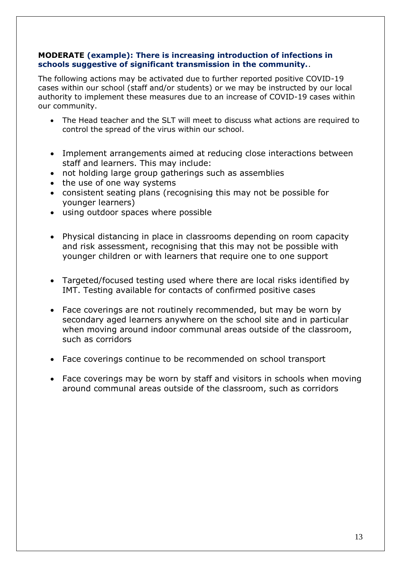#### **MODERATE (example): There is increasing introduction of infections in schools suggestive of significant transmission in the community.**.

The following actions may be activated due to further reported positive COVID-19 cases within our school (staff and/or students) or we may be instructed by our local authority to implement these measures due to an increase of COVID-19 cases within our community.

- The Head teacher and the SLT will meet to discuss what actions are required to control the spread of the virus within our school.
- Implement arrangements aimed at reducing close interactions between staff and learners. This may include:
- not holding large group gatherings such as assemblies
- the use of one way systems
- consistent seating plans (recognising this may not be possible for younger learners)
- using outdoor spaces where possible
- Physical distancing in place in classrooms depending on room capacity and risk assessment, recognising that this may not be possible with younger children or with learners that require one to one support
- Targeted/focused testing used where there are local risks identified by IMT. Testing available for contacts of confirmed positive cases
- Face coverings are not routinely recommended, but may be worn by secondary aged learners anywhere on the school site and in particular when moving around indoor communal areas outside of the classroom, such as corridors
- Face coverings continue to be recommended on school transport
- Face coverings may be worn by staff and visitors in schools when moving around communal areas outside of the classroom, such as corridors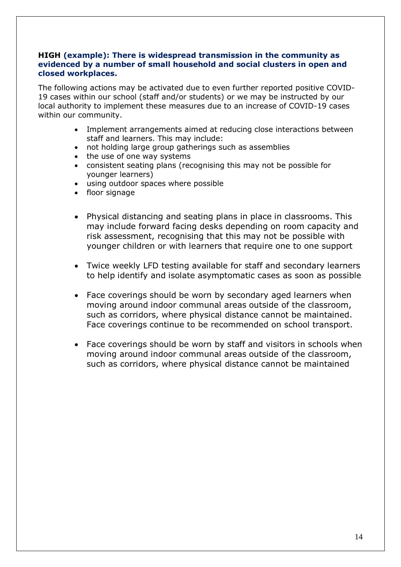#### **HIGH (example): There is widespread transmission in the community as evidenced by a number of small household and social clusters in open and closed workplaces.**

The following actions may be activated due to even further reported positive COVID-19 cases within our school (staff and/or students) or we may be instructed by our local authority to implement these measures due to an increase of COVID-19 cases within our community.

- Implement arrangements aimed at reducing close interactions between staff and learners. This may include:
- not holding large group gatherings such as assemblies
- the use of one way systems
- consistent seating plans (recognising this may not be possible for younger learners)
- using outdoor spaces where possible
- floor signage
- Physical distancing and seating plans in place in classrooms. This may include forward facing desks depending on room capacity and risk assessment, recognising that this may not be possible with younger children or with learners that require one to one support
- Twice weekly LFD testing available for staff and secondary learners to help identify and isolate asymptomatic cases as soon as possible
- Face coverings should be worn by secondary aged learners when moving around indoor communal areas outside of the classroom, such as corridors, where physical distance cannot be maintained. Face coverings continue to be recommended on school transport.
- Face coverings should be worn by staff and visitors in schools when moving around indoor communal areas outside of the classroom, such as corridors, where physical distance cannot be maintained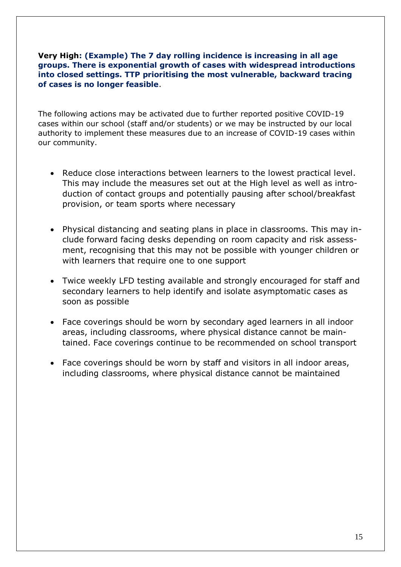#### **Very High: (Example) The 7 day rolling incidence is increasing in all age groups. There is exponential growth of cases with widespread introductions into closed settings. TTP prioritising the most vulnerable, backward tracing of cases is no longer feasible**.

The following actions may be activated due to further reported positive COVID-19 cases within our school (staff and/or students) or we may be instructed by our local authority to implement these measures due to an increase of COVID-19 cases within our community.

- Reduce close interactions between learners to the lowest practical level. This may include the measures set out at the High level as well as introduction of contact groups and potentially pausing after school/breakfast provision, or team sports where necessary
- Physical distancing and seating plans in place in classrooms. This may include forward facing desks depending on room capacity and risk assessment, recognising that this may not be possible with younger children or with learners that require one to one support
- Twice weekly LFD testing available and strongly encouraged for staff and secondary learners to help identify and isolate asymptomatic cases as soon as possible
- Face coverings should be worn by secondary aged learners in all indoor areas, including classrooms, where physical distance cannot be maintained. Face coverings continue to be recommended on school transport
- Face coverings should be worn by staff and visitors in all indoor areas, including classrooms, where physical distance cannot be maintained